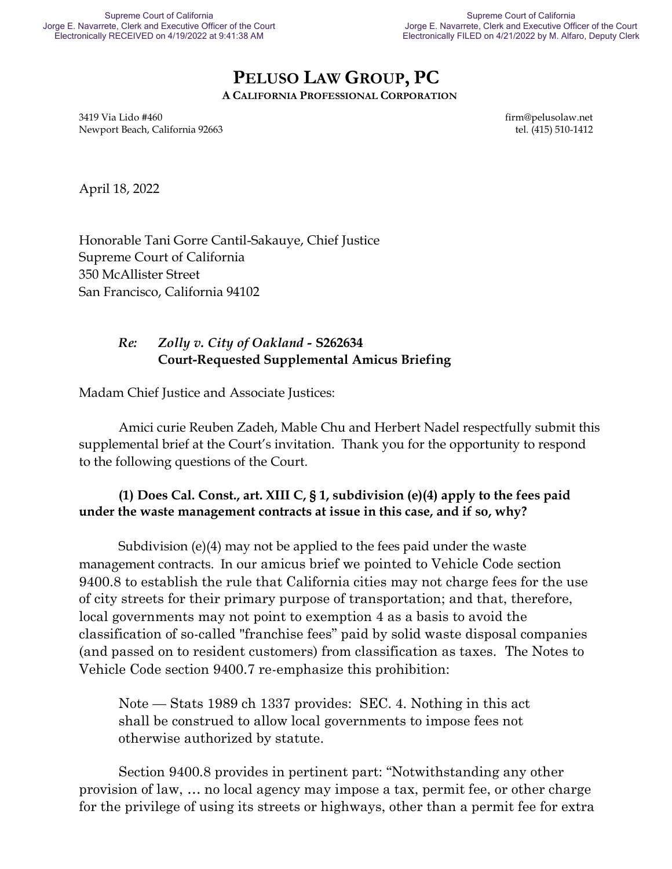# **PELUSO LAW GROUP, PC**

**A CALIFORNIA PROFESSIONAL CORPORATION**

3419 Via Lido #460 firm@pelusolaw.net Newport Beach, California 92663 tel. (415) 510-1412

April 18, 2022

Honorable Tani Gorre Cantil-Sakauye, Chief Justice Supreme Court of California 350 McAllister Street San Francisco, California 94102

## *Re: Zolly v. City of Oakland -* **S262634 Court-Requested Supplemental Amicus Briefing**

Madam Chief Justice and Associate Justices:

Amici curie Reuben Zadeh, Mable Chu and Herbert Nadel respectfully submit this supplemental brief at the Court's invitation. Thank you for the opportunity to respond to the following questions of the Court.

## **(1) Does Cal. Const., art. XIII C, § 1, subdivision (e)(4) apply to the fees paid under the waste management contracts at issue in this case, and if so, why?**

Subdivision (e)(4) may not be applied to the fees paid under the waste management contracts. In our amicus brief we pointed to Vehicle Code section 9400.8 to establish the rule that California cities may not charge fees for the use of city streets for their primary purpose of transportation; and that, therefore, local governments may not point to exemption 4 as a basis to avoid the classification of so-called "franchise fees" paid by solid waste disposal companies (and passed on to resident customers) from classification as taxes. The Notes to Vehicle Code section 9400.7 re-emphasize this prohibition:

Note — Stats 1989 ch 1337 provides: SEC. 4. Nothing in this act shall be construed to allow local governments to impose fees not otherwise authorized by statute.

Section 9400.8 provides in pertinent part: "Notwithstanding any other provision of law, … no local agency may impose a tax, permit fee, or other charge for the privilege of using its streets or highways, other than a permit fee for extra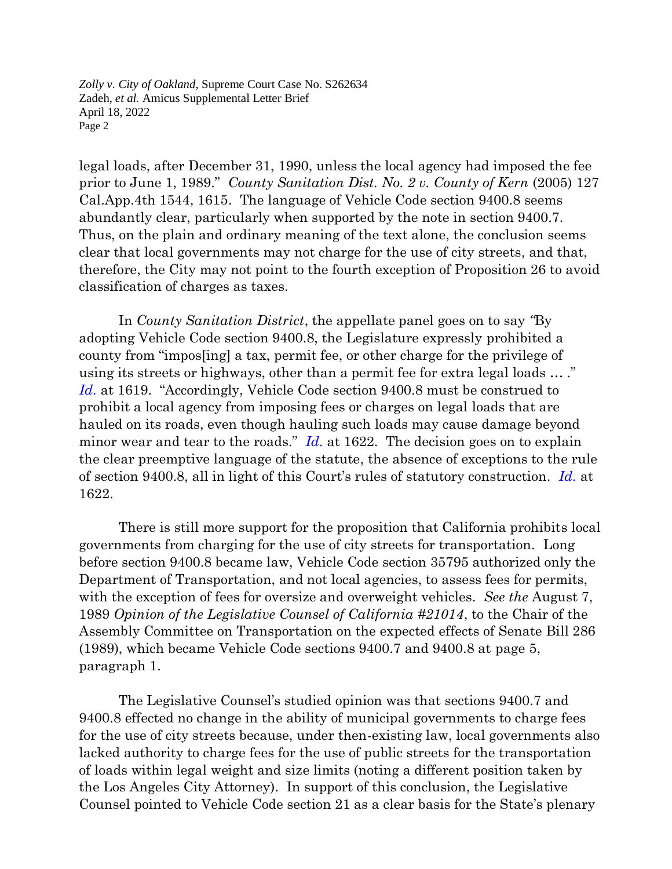legal loads, after December 31, 1990, unless the local agency had imposed the fee prior to June 1, 1989." *[County Sanitation Dist. No. 2 v. County of Kern](https://advance.lexis.com/api/document/collection/cases/id/4FVC-XGM0-0039-4132-00000-00?page=1615&reporter=3062&cite=127%20Cal.%20App.%204th%201544&context=1000516)* (2005) [127](https://advance.lexis.com/api/document/collection/cases/id/4FVC-XGM0-0039-4132-00000-00?page=1615&reporter=3062&cite=127%20Cal.%20App.%204th%201544&context=1000516)  [Cal.App.4th 1544, 1615.](https://advance.lexis.com/api/document/collection/cases/id/4FVC-XGM0-0039-4132-00000-00?page=1615&reporter=3062&cite=127%20Cal.%20App.%204th%201544&context=1000516) The language of Vehicle Code section 9400.8 seems abundantly clear, particularly when supported by the note in section 9400.7. Thus, on the plain and ordinary meaning of the text alone, the conclusion seems clear that local governments may not charge for the use of city streets, and that, therefore, the City may not point to the fourth exception of Proposition 26 to avoid classification of charges as taxes.

In *County Sanitation District*, the appellate panel goes on to say *"*By adopting Vehicle Code section 9400.8, the Legislature expressly prohibited a county from "impos[ing] a tax, permit fee, or other charge for the privilege of using its streets or highways, other than a permit fee for extra legal loads … ." *[Id.](https://advance.lexis.com/api/document/collection/cases/id/4FVC-XGM0-0039-4132-00000-00?page=1622&reporter=3062&cite=127%20Cal.%20App.%204th%201544&context=1000516)* at 1619. "Accordingly, Vehicle Code section 9400.8 must be construed to prohibit a local agency from imposing fees or charges on legal loads that are hauled on its roads, even though hauling such loads may cause damage beyond minor wear and tear to the roads." *[Id.](https://advance.lexis.com/api/document/collection/cases/id/4FVC-XGM0-0039-4132-00000-00?page=1622&reporter=3062&cite=127%20Cal.%20App.%204th%201544&context=1000516)* at 1622. The decision goes on to explain the clear preemptive language of the statute, the absence of exceptions to the rule of section 9400.8, all in light of this Court's rules of statutory construction. *[Id.](https://advance.lexis.com/api/document/collection/cases/id/4FVC-XGM0-0039-4132-00000-00?page=1622&reporter=3062&cite=127%20Cal.%20App.%204th%201544&context=1000516)* at 1622.

There is still more support for the proposition that California prohibits local governments from charging for the use of city streets for transportation. Long before section 9400.8 became law, Vehicle Code section 35795 authorized only the Department of Transportation, and not local agencies, to assess fees for permits, with the exception of fees for oversize and overweight vehicles. *See the* August 7, 1989 *Opinion of the Legislative Counsel of California #21014*, to the Chair of the Assembly Committee on Transportation on the expected effects of Senate Bill 286 (1989), which became Vehicle Code sections 9400.7 and 9400.8 at page 5, paragraph 1.

The Legislative Counsel's studied opinion was that sections 9400.7 and 9400.8 effected no change in the ability of municipal governments to charge fees for the use of city streets because, under then-existing law, local governments also lacked authority to charge fees for the use of public streets for the transportation of loads within legal weight and size limits (noting a different position taken by the Los Angeles City Attorney).In support of this conclusion, the Legislative Counsel pointed to Vehicle Code section 21 as a clear basis for the State's plenary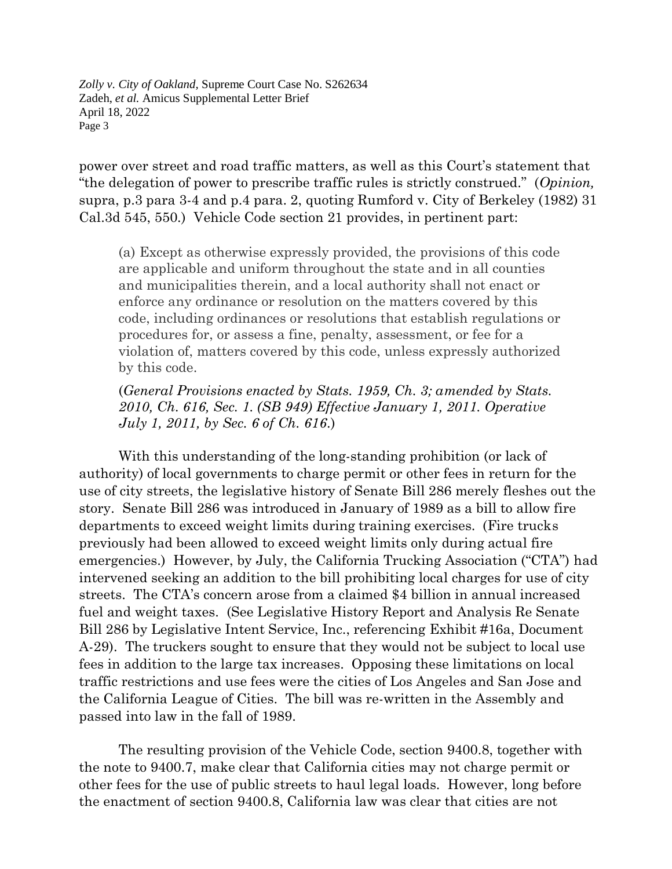power over street and road traffic matters, as well as this Court's statement that "the delegation of power to prescribe traffic rules is strictly construed." (*Opinion,* supra, p.3 para 3-4 and p.4 para. 2, quoting Rumford v. City of Berkeley (1982) 31 Cal.3d 545, 550.) Vehicle Code section 21 provides, in pertinent part:

(a) Except as otherwise expressly provided, the provisions of this code are applicable and uniform throughout the state and in all counties and municipalities therein, and a local authority shall not enact or enforce any ordinance or resolution on the matters covered by this code, including ordinances or resolutions that establish regulations or procedures for, or assess a fine, penalty, assessment, or fee for a violation of, matters covered by this code, unless expressly authorized by this code.

(*General Provisions enacted by Stats. 1959, Ch. 3; amended by Stats. 2010, Ch. 616, Sec. 1. (SB 949) Effective January 1, 2011. Operative July 1, 2011, by Sec. 6 of Ch. 616*.)

With this understanding of the long-standing prohibition (or lack of authority) of local governments to charge permit or other fees in return for the use of city streets, the legislative history of Senate Bill 286 merely fleshes out the story. Senate Bill 286 was introduced in January of 1989 as a bill to allow fire departments to exceed weight limits during training exercises. (Fire trucks previously had been allowed to exceed weight limits only during actual fire emergencies.) However, by July, the California Trucking Association ("CTA") had intervened seeking an addition to the bill prohibiting local charges for use of city streets. The CTA's concern arose from a claimed \$4 billion in annual increased fuel and weight taxes. (See Legislative History Report and Analysis Re Senate Bill 286 by Legislative Intent Service, Inc., referencing Exhibit #16a, Document A-29). The truckers sought to ensure that they would not be subject to local use fees in addition to the large tax increases. Opposing these limitations on local traffic restrictions and use fees were the cities of Los Angeles and San Jose and the California League of Cities. The bill was re-written in the Assembly and passed into law in the fall of 1989.

The resulting provision of the Vehicle Code, section 9400.8, together with the note to 9400.7, make clear that California cities may not charge permit or other fees for the use of public streets to haul legal loads. However, long before the enactment of section 9400.8, California law was clear that cities are not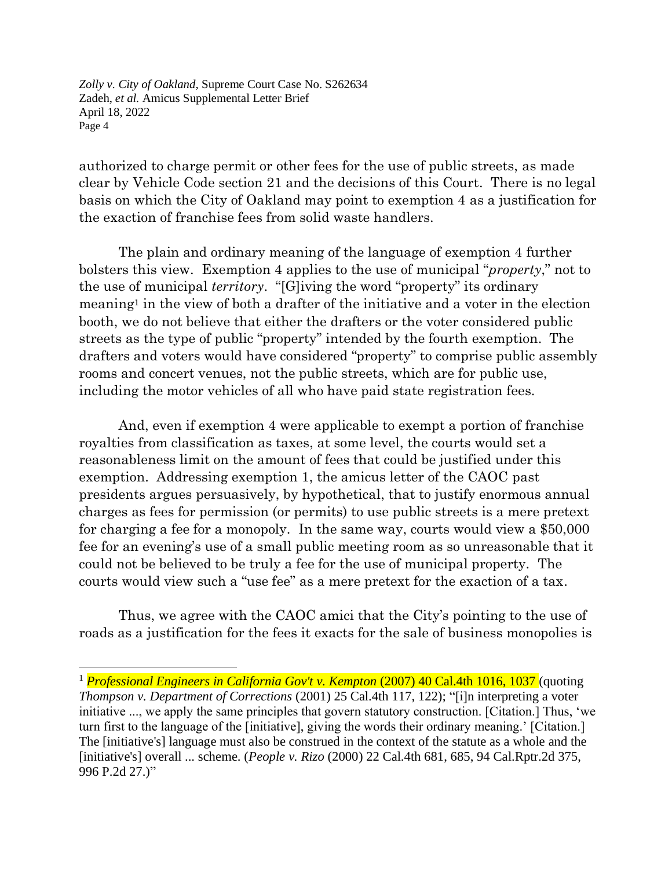authorized to charge permit or other fees for the use of public streets, as made clear by Vehicle Code section 21 and the decisions of this Court. There is no legal basis on which the City of Oakland may point to exemption 4 as a justification for the exaction of franchise fees from solid waste handlers.

The plain and ordinary meaning of the language of exemption 4 further bolsters this view. Exemption 4 applies to the use of municipal "*property*," not to the use of municipal *territory*. "[G]iving the word "property" its ordinary meaning<sup>1</sup> in the view of both a drafter of the initiative and a voter in the election booth, we do not believe that either the drafters or the voter considered public streets as the type of public "property" intended by the fourth exemption. The drafters and voters would have considered "property" to comprise public assembly rooms and concert venues, not the public streets, which are for public use, including the motor vehicles of all who have paid state registration fees.

And, even if exemption 4 were applicable to exempt a portion of franchise royalties from classification as taxes, at some level, the courts would set a reasonableness limit on the amount of fees that could be justified under this exemption. Addressing exemption 1, the amicus letter of the CAOC past presidents argues persuasively, by hypothetical, that to justify enormous annual charges as fees for permission (or permits) to use public streets is a mere pretext for charging a fee for a monopoly. In the same way, courts would view a \$50,000 fee for an evening's use of a small public meeting room as so unreasonable that it could not be believed to be truly a fee for the use of municipal property. The courts would view such a "use fee" as a mere pretext for the exaction of a tax.

Thus, we agree with the CAOC amici that the City's pointing to the use of roads as a justification for the fees it exacts for the sale of business monopolies is

<sup>1</sup> *Professional Engineers in California Gov't v. Kempton* (2007) 40 Cal.4th 1016, 1037 (quoting *Thompson v. Department of Corrections* (2001) 25 Cal.4th 117, 122); "[i]n interpreting a voter initiative ..., we apply the same principles that govern statutory construction. [Citation.] Thus, 'we turn first to the language of the [initiative], giving the words their ordinary meaning.' [Citation.] The [initiative's] language must also be construed in the context of the statute as a whole and the [initiative's] overall ... scheme. (*People v. Rizo* (2000) 22 Cal.4th 681, 685, 94 Cal.Rptr.2d 375, 996 P.2d 27.)"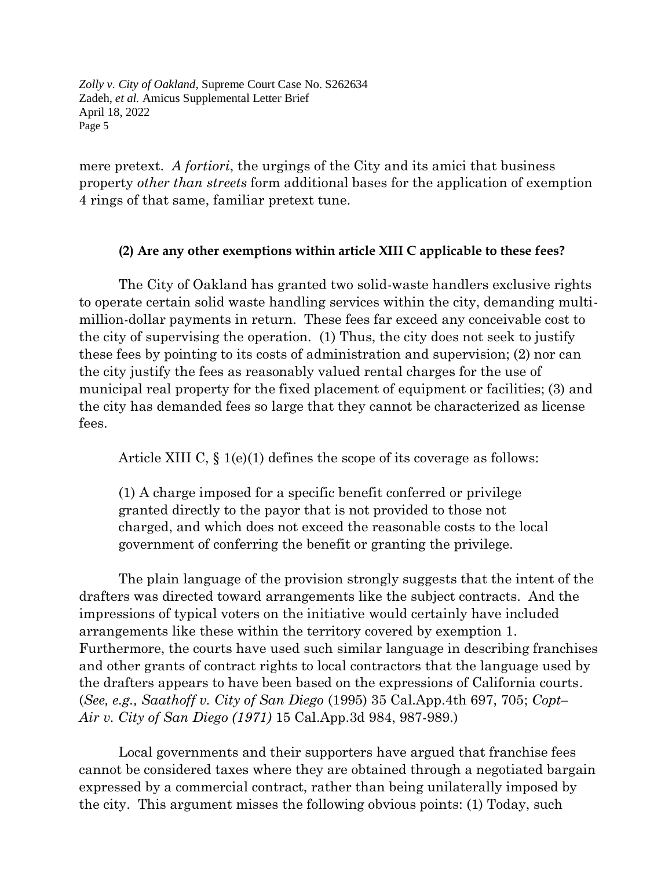mere pretext. *A fortiori*, the urgings of the City and its amici that business property *other than streets* form additional bases for the application of exemption 4 rings of that same, familiar pretext tune.

#### **(2) Are any other exemptions within article XIII C applicable to these fees?**

The City of Oakland has granted two solid-waste handlers exclusive rights to operate certain solid waste handling services within the city, demanding multimillion-dollar payments in return. These fees far exceed any conceivable cost to the city of supervising the operation. (1) Thus, the city does not seek to justify these fees by pointing to its costs of administration and supervision; (2) nor can the city justify the fees as reasonably valued rental charges for the use of municipal real property for the fixed placement of equipment or facilities; (3) and the city has demanded fees so large that they cannot be characterized as license fees.

Article XIII C, § 1(e)(1) defines the scope of its coverage as follows:

(1) A charge imposed for a specific benefit conferred or privilege granted directly to the payor that is not provided to those not charged, and which does not exceed the reasonable costs to the local government of conferring the benefit or granting the privilege.

The plain language of the provision strongly suggests that the intent of the drafters was directed toward arrangements like the subject contracts. And the impressions of typical voters on the initiative would certainly have included arrangements like these within the territory covered by exemption 1. Furthermore, the courts have used such similar language in describing franchises and other grants of contract rights to local contractors that the language used by the drafters appears to have been based on the expressions of California courts. (*See, e.g., Saathoff v. City of San Diego* (1995) 35 Cal.App.4th 697, 705; *Copt– Air v. City of San Diego (1971)* 15 Cal.App.3d 984, 987-989.)

Local governments and their supporters have argued that franchise fees cannot be considered taxes where they are obtained through a negotiated bargain expressed by a commercial contract, rather than being unilaterally imposed by the city. This argument misses the following obvious points: (1) Today, such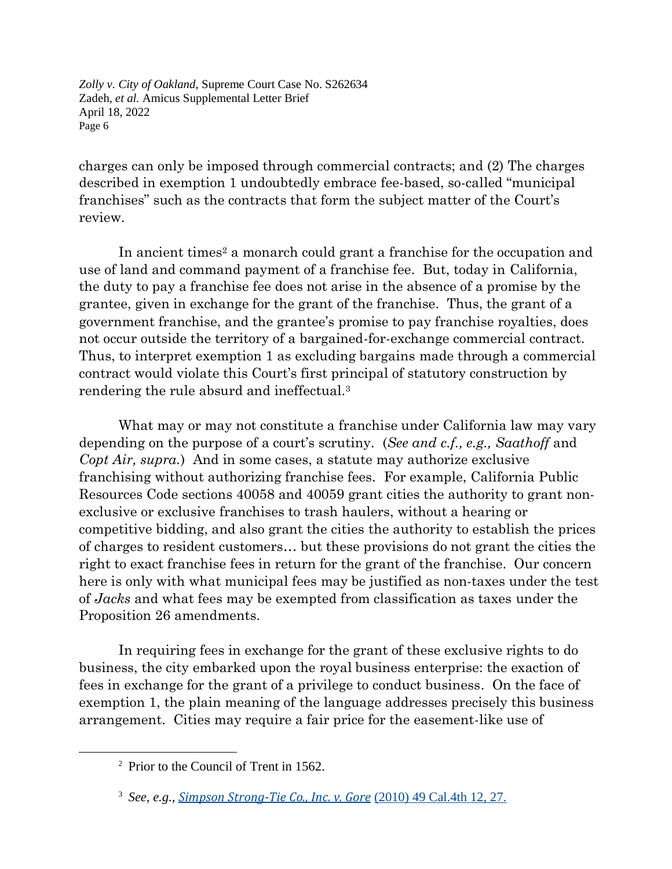charges can only be imposed through commercial contracts; and (2) The charges described in exemption 1 undoubtedly embrace fee-based, so-called "municipal franchises" such as the contracts that form the subject matter of the Court's review.

In ancient times<sup>2</sup> a monarch could grant a franchise for the occupation and use of land and command payment of a franchise fee. But, today in California, the duty to pay a franchise fee does not arise in the absence of a promise by the grantee, given in exchange for the grant of the franchise. Thus, the grant of a government franchise, and the grantee's promise to pay franchise royalties, does not occur outside the territory of a bargained-for-exchange commercial contract. Thus, to interpret exemption 1 as excluding bargains made through a commercial contract would violate this Court's first principal of statutory construction by rendering the rule absurd and ineffectual.<sup>3</sup>

What may or may not constitute a franchise under California law may vary depending on the purpose of a court's scrutiny. (*See and c.f., e.g., Saathoff* and *Copt Air, supra.*) And in some cases, a statute may authorize exclusive franchising without authorizing franchise fees. For example, California Public Resources Code sections 40058 and 40059 grant cities the authority to grant nonexclusive or exclusive franchises to trash haulers, without a hearing or competitive bidding, and also grant the cities the authority to establish the prices of charges to resident customers… but these provisions do not grant the cities the right to exact franchise fees in return for the grant of the franchise. Our concern here is only with what municipal fees may be justified as non-taxes under the test of *Jacks* and what fees may be exempted from classification as taxes under the Proposition 26 amendments.

In requiring fees in exchange for the grant of these exclusive rights to do business, the city embarked upon the royal business enterprise: the exaction of fees in exchange for the grant of a privilege to conduct business. On the face of exemption 1, the plain meaning of the language addresses precisely this business arrangement. Cities may require a fair price for the easement-like use of

<sup>2</sup> Prior to the Council of Trent in 1562.

<sup>3</sup> *See, e.g., Simpson [Strong-Tie](https://advance.lexis.com/api/document/collection/cases/id/7YGK-4C11-2RHH-V0BV-00000-00?page=27&reporter=3061&cite=49%20Cal.%204th%2012&context=1000516) Co., Inc. v. Gore* (2010) 49 Cal.4th 12, [27.](https://advance.lexis.com/api/document/collection/cases/id/7YGK-4C11-2RHH-V0BV-00000-00?page=27&reporter=3061&cite=49%20Cal.%204th%2012&context=1000516)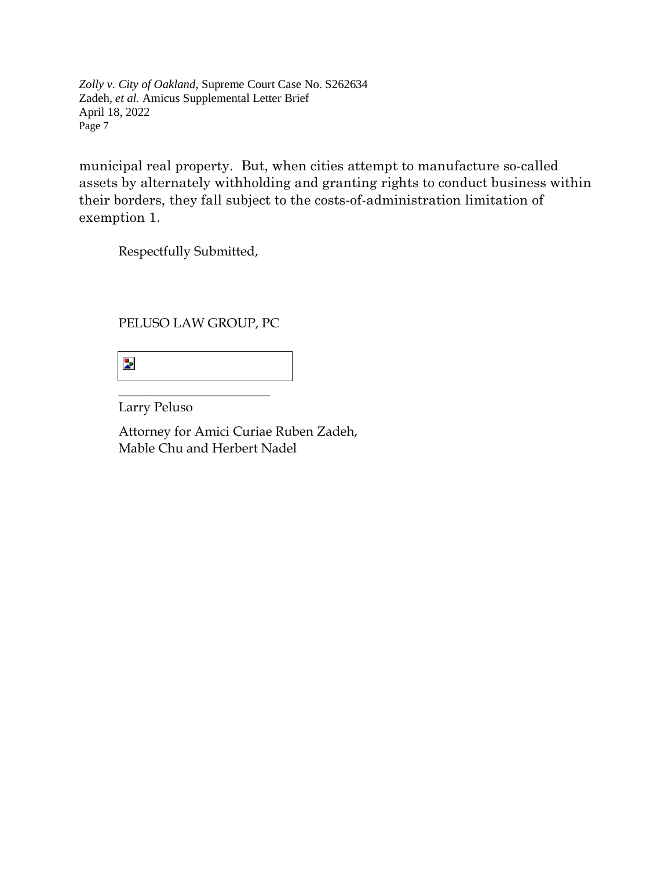municipal real property. But, when cities attempt to manufacture so-called assets by alternately withholding and granting rights to conduct business within their borders, they fall subject to the costs-of-administration limitation of exemption 1.

Respectfully Submitted,

## PELUSO LAW GROUP, PC

 $\overline{\phantom{a}}$  , where  $\overline{\phantom{a}}$  , where  $\overline{\phantom{a}}$  , where  $\overline{\phantom{a}}$ 

 $\overline{\mathbf{z}}$ 

Larry Peluso

Attorney for Amici Curiae Ruben Zadeh, Mable Chu and Herbert Nadel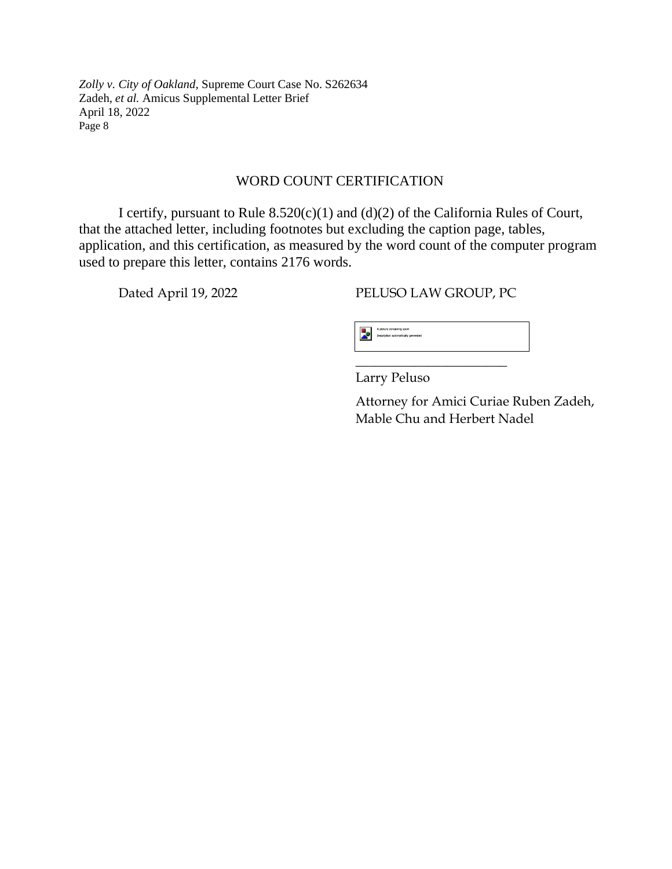#### WORD COUNT CERTIFICATION

I certify, pursuant to Rule 8.520(c)(1) and (d)(2) of the California Rules of Court, that the attached letter, including footnotes but excluding the caption page, tables, application, and this certification, as measured by the word count of the computer program used to prepare this letter, contains 2176 words.

Dated April 19, 2022 PELUSO LAW GROUP, PC



Larry Peluso

Attorney for Amici Curiae Ruben Zadeh, Mable Chu and Herbert Nadel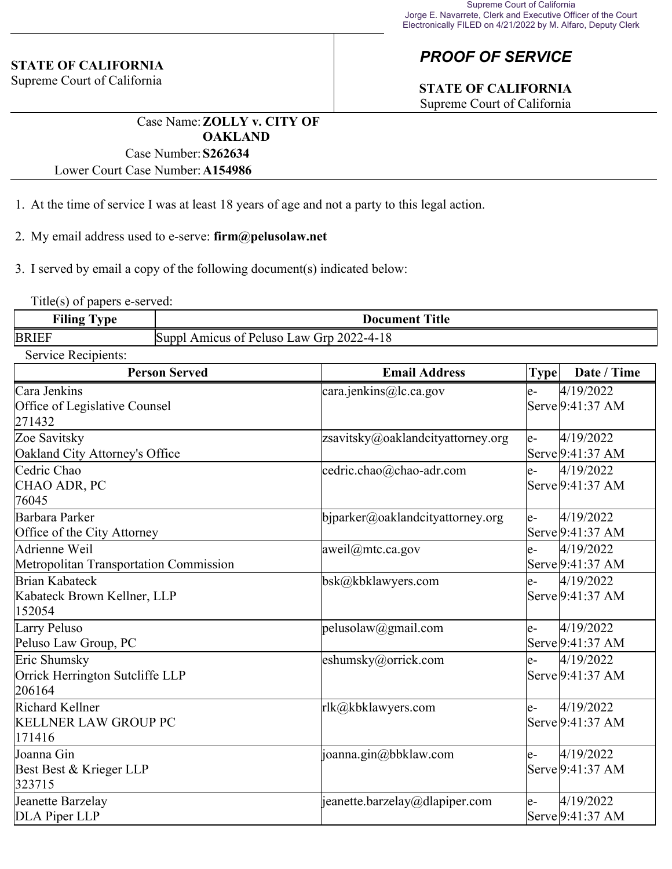#### **STATE OF CALIFORNIA**

Supreme Court of California

# *PROOF OF SERVICE*

# **STATE OF CALIFORNIA**

Supreme Court of California

Case Name:**ZOLLY v. CITY OF OAKLAND** Case Number:**S262634**

Lower Court Case Number:**A154986**

- 1. At the time of service I was at least 18 years of age and not a party to this legal action.
- 2. My email address used to e-serve: **firm@pelusolaw.net**

3. I served by email a copy of the following document(s) indicated below:

Title(s) of papers e-served:

| ----<br><b>vne</b><br>'ılıng | <b>Title</b><br>Document                                                               |  |
|------------------------------|----------------------------------------------------------------------------------------|--|
| <b>BRIEF</b>                 | 202°<br>$\mathbf{L}aw$<br><b>Peluso</b><br>Sunnl<br>$\sigma$ rp<br>Amicus of<br>2-4-18 |  |

Service Recipients:

| <b>Person Served</b>                                      | <b>Email Address</b>              | <b>Type</b> | Date / Time                   |
|-----------------------------------------------------------|-----------------------------------|-------------|-------------------------------|
| Cara Jenkins<br>Office of Legislative Counsel<br>271432   | cara.jenkins@lc.ca.gov            | le-         | 4/19/2022<br>Serve 9:41:37 AM |
| Zoe Savitsky<br>Oakland City Attorney's Office            | zsavitsky@oaklandcityattorney.org | le-         | 4/19/2022<br>Serve 9:41:37 AM |
| Cedric Chao<br>CHAO ADR, PC<br>76045                      | cedric.chao@chao-adr.com          | $e-$        | 4/19/2022<br>Serve 9:41:37 AM |
| Barbara Parker<br>Office of the City Attorney             | bjparker@oaklandcityattorney.org  | le-         | 4/19/2022<br>Serve 9:41:37 AM |
| Adrienne Weil<br>Metropolitan Transportation Commission   | aweil@mtc.ca.gov                  | le-         | 4/19/2022<br>Serve 9:41:37 AM |
| Brian Kabateck<br>Kabateck Brown Kellner, LLP<br>152054   | bsk@kbklawyers.com                | $e-$        | 4/19/2022<br>Serve 9:41:37 AM |
| Larry Peluso<br>Peluso Law Group, PC                      | pelusolaw@gmail.com               | le-         | 4/19/2022<br>Serve 9:41:37 AM |
| Eric Shumsky<br>Orrick Herrington Sutcliffe LLP<br>206164 | eshumsky@orrick.com               | le-         | 4/19/2022<br>Serve 9:41:37 AM |
| Richard Kellner<br><b>KELLNER LAW GROUP PC</b><br>171416  | rlk@kbklawyers.com                | e-          | 4/19/2022<br>Serve 9:41:37 AM |
| Joanna Gin<br>Best Best & Krieger LLP<br>323715           | joanna.gin@bbklaw.com             | le-         | 4/19/2022<br>Serve 9:41:37 AM |
| Jeanette Barzelay<br>DLA Piper LLP                        | jeanette.barzelay@dlapiper.com    | le-         | 4/19/2022<br>Serve 9:41:37 AM |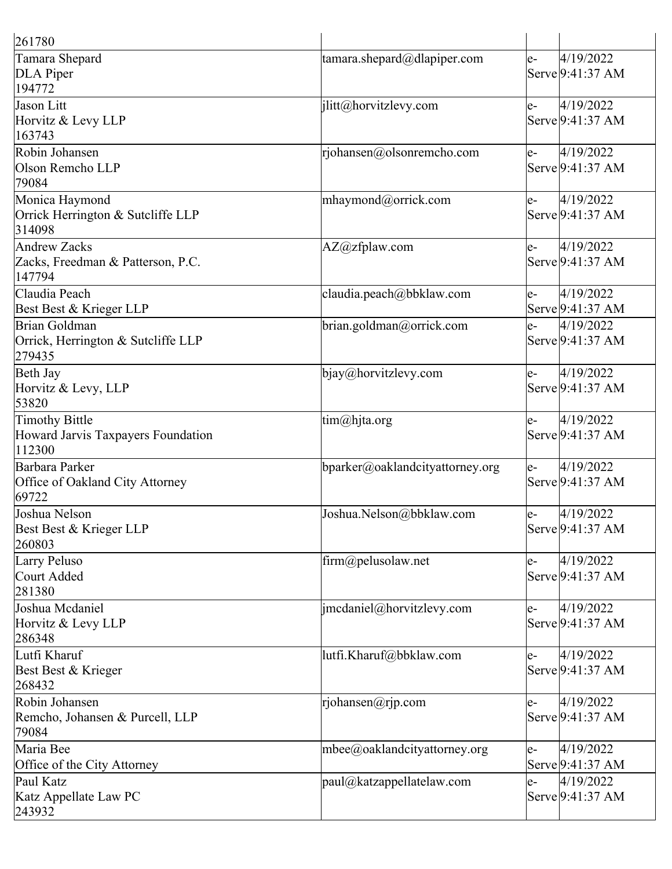| 261780                                                         |                                 |      |                               |
|----------------------------------------------------------------|---------------------------------|------|-------------------------------|
| Tamara Shepard<br>DLA Piper<br>194772                          | tamara.shepard@dlapiper.com     | e-   | 4/19/2022<br>Serve 9:41:37 AM |
| Jason Litt<br>Horvitz & Levy LLP<br>163743                     | jlitt@horvitzlevy.com           | le-  | 4/19/2022<br>Serve 9:41:37 AM |
| Robin Johansen<br>Olson Remcho LLP<br>79084                    | rjohansen@olsonremcho.com       | le-  | 4/19/2022<br>Serve 9:41:37 AM |
| Monica Haymond<br>Orrick Herrington & Sutcliffe LLP<br>314098  | mhaymond@orrick.com             | le-  | 4/19/2022<br>Serve 9:41:37 AM |
| Andrew Zacks<br>Zacks, Freedman & Patterson, P.C.<br>147794    | AZ@zfplaw.com                   | e-   | 4/19/2022<br>Serve 9:41:37 AM |
| Claudia Peach<br>Best Best & Krieger LLP                       | claudia.peach@bbklaw.com        | $e-$ | 4/19/2022<br>Serve 9:41:37 AM |
| Brian Goldman<br>Orrick, Herrington & Sutcliffe LLP<br>279435  | brian.goldman@orrick.com        | e-   | 4/19/2022<br>Serve 9:41:37 AM |
| Beth Jay<br>Horvitz & Levy, LLP<br>53820                       | bjay@horvitzlevy.com            | $e-$ | 4/19/2022<br>Serve 9:41:37 AM |
| Timothy Bittle<br>Howard Jarvis Taxpayers Foundation<br>112300 | tim@hjta.org                    | le-  | 4/19/2022<br>Serve 9:41:37 AM |
| Barbara Parker<br>Office of Oakland City Attorney<br>69722     | bparker@oaklandcityattorney.org | le-  | 4/19/2022<br>Serve 9:41:37 AM |
| Joshua Nelson<br>Best Best & Krieger LLP<br>260803             | Joshua.Nelson@bbklaw.com        | e-   | 4/19/2022<br>Serve 9:41:37 AM |
| Larry Peluso<br>Court Added<br>281380                          | firm@pelusolaw.net              | le-  | 4/19/2022<br>Serve 9:41:37 AM |
| Joshua Mcdaniel<br>Horvitz & Levy LLP<br>286348                | jmcdaniel@horvitzlevy.com       | e-   | 4/19/2022<br>Serve 9:41:37 AM |
| Lutfi Kharuf<br>Best Best & Krieger<br>268432                  | lutfi.Kharuf@bbklaw.com         | $e-$ | 4/19/2022<br>Serve 9:41:37 AM |
| Robin Johansen<br>Remcho, Johansen & Purcell, LLP<br>79084     | rjohansen@rjp.com               | e-   | 4/19/2022<br>Serve 9:41:37 AM |
| Maria Bee<br>Office of the City Attorney                       | mbee@oaklandcityattorney.org    | e-   | 4/19/2022<br>Serve 9:41:37 AM |
| Paul Katz<br>Katz Appellate Law PC<br>243932                   | paul@katzappellatelaw.com       | le-  | 4/19/2022<br>Serve 9:41:37 AM |